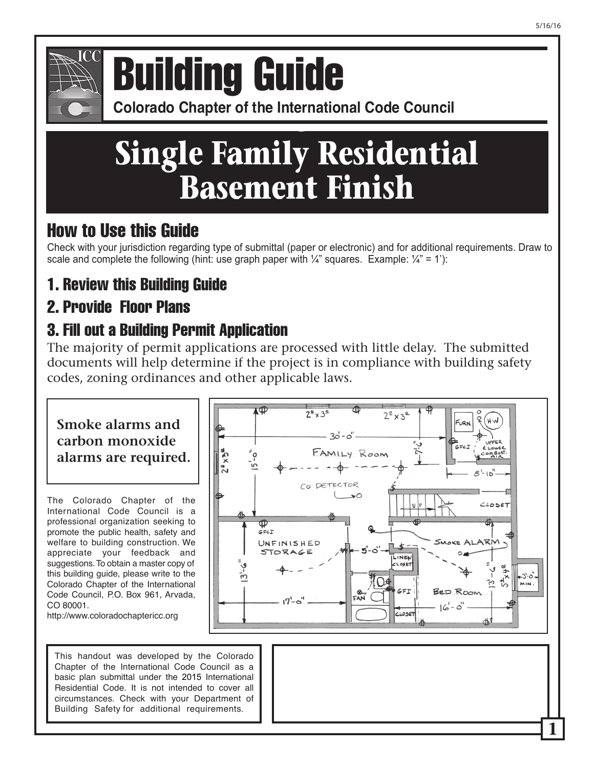

## **Colorado Chapter of the International Conference of Building Building Guide**

**Colorado Chapter of the International Code Council** 

# **Single Family Residential Basement Finish**

### How to Use this Guide

Check with your jurisdiction regarding type of submittal (paper or electronic) and for additional requirements. Draw to scale and complete the following (hint: use graph paper with  $\frac{1}{4}$ " squares. Example:  $\frac{1}{4}$ " = 1'):

### 1. Review this Building Guide

### 2. Provide Floor Plans

### 3. Fill out a Building Permit Application

The majority of permit applications are processed with little delay. The submitted documents will help determine if the project is in compliance with building safety codes, zoning ordinances and other applicable laws.

### **Smoke alarms and carbon monoxide alarms are required.**

The Colorado Chapter of the International Code Council is a professional organization seeking to promote the public health, safety and welfare to building construction. We appreciate your feedback and suggestions. To obtain a master copy of this building guide, please write to the Colorado Chapter of the International Code Council, P.O. Box 961, Arvada, CO 80001.

http://www.coloradochaptericc.org

This handout was developed by the Colorado Chapter of the International Code Council as a basic plan submittal under the 2015 International Residential Code. It is not intended to cover all circumstances. Check with your Department of Building Safety for additional requirements.

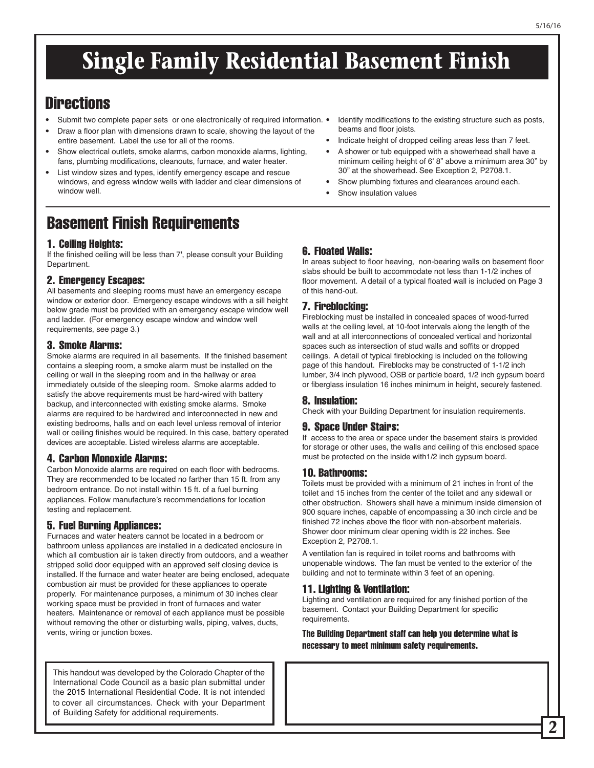# **Single Family Residential Basement Finish**

### **Directions**

- Submit two complete paper sets or one electronically of required information. •
- Draw a floor plan with dimensions drawn to scale, showing the layout of the entire basement. Label the use for all of the rooms.
- Show electrical outlets, smoke alarms, carbon monoxide alarms, lighting, fans, plumbing modifications, cleanouts, furnace, and water heater.
- List window sizes and types, identify emergency escape and rescue windows, and egress window wells with ladder and clear dimensions of window well

### Basement Finish Requirements

#### 1. Ceiling Heights:

If the finished ceiling will be less than 7', please consult your Building Department.

#### 2. Emergency Escapes:

All basements and sleeping rooms must have an emergency escape window or exterior door. Emergency escape windows with a sill height below grade must be provided with an emergency escape window well and ladder. (For emergency escape window and window well requirements, see page 3.)

#### 3. Smoke Alarms:

Smoke alarms are required in all basements. If the finished basement contains a sleeping room, a smoke alarm must be installed on the ceiling or wall in the sleeping room and in the hallway or area immediately outside of the sleeping room. Smoke alarms added to satisfy the above requirements must be hard-wired with battery backup, and interconnected with existing smoke alarms. Smoke alarms are required to be hardwired and interconnected in new and existing bedrooms, halls and on each level unless removal of interior wall or ceiling finishes would be required. In this case, battery operated devices are acceptable. Listed wireless alarms are acceptable.

#### 4. Carbon Monoxide Alarms:

Carbon Monoxide alarms are required on each floor with bedrooms. They are recommended to be located no farther than 15 ft. from any bedroom entrance. Do not install within 15 ft. of a fuel burning appliances. Follow manufacture's recommendations for location testing and replacement.

#### 5. Fuel Burning Appliances:

Furnaces and water heaters cannot be located in a bedroom or bathroom unless appliances are installed in a dedicated enclosure in which all combustion air is taken directly from outdoors, and a weather stripped solid door equipped with an approved self closing device is installed. If the furnace and water heater are being enclosed, adequate combustion air must be provided for these appliances to operate properly. For maintenance purposes, a minimum of 30 inches clear working space must be provided in front of furnaces and water heaters. Maintenance or removal of each appliance must be possible without removing the other or disturbing walls, piping, valves, ducts, vents, wiring or junction boxes.

This handout was developed by the Colorado Chapter of the International Code Council as a basic plan submittal under the 2015 International Residential Code. It is not intended to cover all circumstances. Check with your Department of Building Safety for additional requirements.

#### 6. Floated Walls:

beams and floor joists.

Show insulation values

In areas subject to floor heaving, non-bearing walls on basement floor slabs should be built to accommodate not less than 1-1/2 inches of floor movement. A detail of a typical floated wall is included on Page 3 of this hand-out.

Identify modifications to the existing structure such as posts,

• Indicate height of dropped ceiling areas less than 7 feet. • A shower or tub equipped with a showerhead shall have a minimum ceiling height of 6' 8" above a minimum area 30" by

30" at the showerhead. See Exception 2, P2708.1. Show plumbing fixtures and clearances around each.

#### 7. Fireblocking:

Fireblocking must be installed in concealed spaces of wood-furred walls at the ceiling level, at 10-foot intervals along the length of the wall and at all interconnections of concealed vertical and horizontal spaces such as intersection of stud walls and soffits or dropped ceilings. A detail of typical fireblocking is included on the following page of this handout. Fireblocks may be constructed of 1-1/2 inch lumber, 3/4 inch plywood, OSB or particle board, 1/2 inch gypsum board or fiberglass insulation 16 inches minimum in height, securely fastened.

#### 8. Insulation:

Check with your Building Department for insulation requirements.

#### 9. Space Under Stairs:

If access to the area or space under the basement stairs is provided for storage or other uses, the walls and ceiling of this enclosed space must be protected on the inside with1/2 inch gypsum board.

#### 10. Bathrooms:

Toilets must be provided with a minimum of 21 inches in front of the toilet and 15 inches from the center of the toilet and any sidewall or other obstruction. Showers shall have a minimum inside dimension of 900 square inches, capable of encompassing a 30 inch circle and be finished 72 inches above the floor with non-absorbent materials. Shower door minimum clear opening width is 22 inches. See Exception 2, P2708.1.

A ventilation fan is required in toilet rooms and bathrooms with unopenable windows. The fan must be vented to the exterior of the building and not to terminate within 3 feet of an opening.

#### 11. Lighting & Ventilation:

Lighting and ventilation are required for any finished portion of the basement. Contact your Building Department for specific requirements.

The Building Department staff can help you determine what is necessary to meet minimum safety requirements.